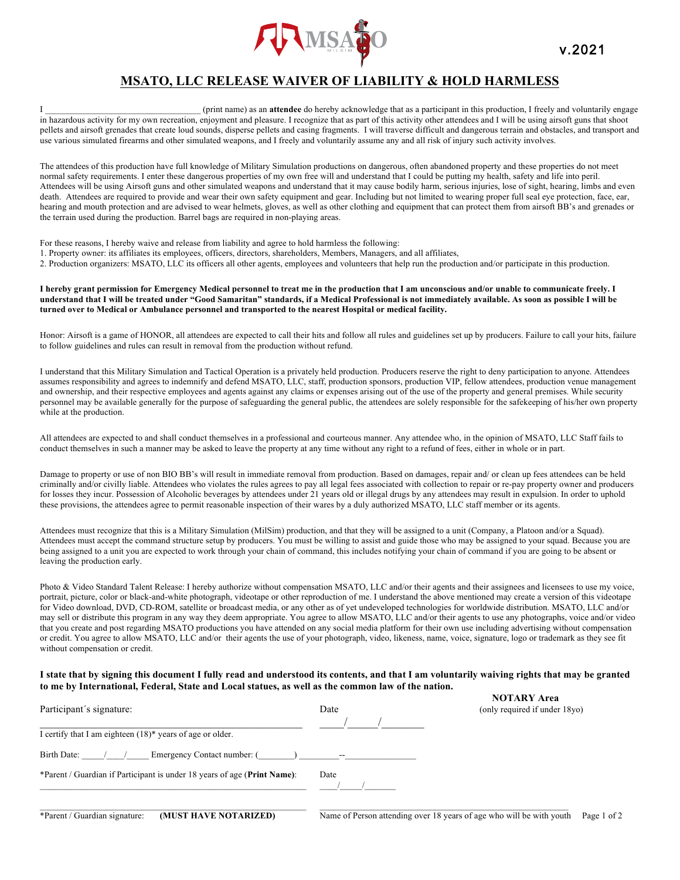

## **MSATO, LLC RELEASE WAIVER OF LIABILITY & HOLD HARMLESS**

I \_\_\_\_\_\_\_\_\_\_\_\_\_\_\_\_\_\_\_\_\_\_\_\_\_\_\_\_\_\_\_\_\_\_\_ (print name) as an **attendee** do hereby acknowledge that as a participant in this production, I freely and voluntarily engage in hazardous activity for my own recreation, enjoyment and pleasure. I recognize that as part of this activity other attendees and I will be using airsoft guns that shoot pellets and airsoft grenades that create loud sounds, disperse pellets and casing fragments. I will traverse difficult and dangerous terrain and obstacles, and transport and use various simulated firearms and other simulated weapons, and I freely and voluntarily assume any and all risk of injury such activity involves.

The attendees of this production have full knowledge of Military Simulation productions on dangerous, often abandoned property and these properties do not meet normal safety requirements. I enter these dangerous properties of my own free will and understand that I could be putting my health, safety and life into peril. Attendees will be using Airsoft guns and other simulated weapons and understand that it may cause bodily harm, serious injuries, lose of sight, hearing, limbs and even death. Attendees are required to provide and wear their own safety equipment and gear. Including but not limited to wearing proper full seal eye protection, face, ear, hearing and mouth protection and are advised to wear helmets, gloves, as well as other clothing and equipment that can protect them from airsoft BB's and grenades or the terrain used during the production. Barrel bags are required in non-playing areas.

For these reasons, I hereby waive and release from liability and agree to hold harmless the following:

1. Property owner: its affiliates its employees, officers, directors, shareholders, Members, Managers, and all affiliates,

2. Production organizers: MSATO, LLC its officers all other agents, employees and volunteers that help run the production and/or participate in this production.

**I hereby grant permission for Emergency Medical personnel to treat me in the production that I am unconscious and/or unable to communicate freely. I understand that I will be treated under "Good Samaritan" standards, if a Medical Professional is not immediately available. As soon as possible I will be turned over to Medical or Ambulance personnel and transported to the nearest Hospital or medical facility.**

Honor: Airsoft is a game of HONOR, all attendees are expected to call their hits and follow all rules and guidelines set up by producers. Failure to call your hits, failure to follow guidelines and rules can result in removal from the production without refund.

I understand that this Military Simulation and Tactical Operation is a privately held production. Producers reserve the right to deny participation to anyone. Attendees assumes responsibility and agrees to indemnify and defend MSATO, LLC, staff, production sponsors, production VIP, fellow attendees, production venue management and ownership, and their respective employees and agents against any claims or expenses arising out of the use of the property and general premises. While security personnel may be available generally for the purpose of safeguarding the general public, the attendees are solely responsible for the safekeeping of his/her own property while at the production.

All attendees are expected to and shall conduct themselves in a professional and courteous manner. Any attendee who, in the opinion of MSATO, LLC Staff fails to conduct themselves in such a manner may be asked to leave the property at any time without any right to a refund of fees, either in whole or in part.

Damage to property or use of non BIO BB's will result in immediate removal from production. Based on damages, repair and/ or clean up fees attendees can be held criminally and/or civilly liable. Attendees who violates the rules agrees to pay all legal fees associated with collection to repair or re-pay property owner and producers for losses they incur. Possession of Alcoholic beverages by attendees under 21 years old or illegal drugs by any attendees may result in expulsion. In order to uphold these provisions, the attendees agree to permit reasonable inspection of their wares by a duly authorized MSATO, LLC staff member or its agents.

Attendees must recognize that this is a Military Simulation (MilSim) production, and that they will be assigned to a unit (Company, a Platoon and/or a Squad). Attendees must accept the command structure setup by producers. You must be willing to assist and guide those who may be assigned to your squad. Because you are being assigned to a unit you are expected to work through your chain of command, this includes notifying your chain of command if you are going to be absent or leaving the production early.

Photo & Video Standard Talent Release: I hereby authorize without compensation MSATO, LLC and/or their agents and their assignees and licensees to use my voice, portrait, picture, color or black-and-white photograph, videotape or other reproduction of me. I understand the above mentioned may create a version of this videotape for Video download, DVD, CD-ROM, satellite or broadcast media, or any other as of yet undeveloped technologies for worldwide distribution. MSATO, LLC and/or may sell or distribute this program in any way they deem appropriate. You agree to allow MSATO, LLC and/or their agents to use any photographs, voice and/or video that you create and post regarding MSATO productions you have attended on any social media platform for their own use including advertising without compensation or credit. You agree to allow MSATO, LLC and/or their agents the use of your photograph, video, likeness, name, voice, signature, logo or trademark as they see fit without compensation or credit.

## **I state that by signing this document I fully read and understood its contents, and that I am voluntarily waiving rights that may be granted to me by International, Federal, State and Local statues, as well as the common law of the nation.**

| Participant's signature:                                                 | Date | (only required if under 18yo) |
|--------------------------------------------------------------------------|------|-------------------------------|
| I certify that I am eighteen $(18)^*$ years of age or older.             |      |                               |
| Birth Date: / /<br>Emergency Contact number: () --                       |      |                               |
| *Parent / Guardian if Participant is under 18 years of age (Print Name): | Date |                               |

**NOTARY Area**